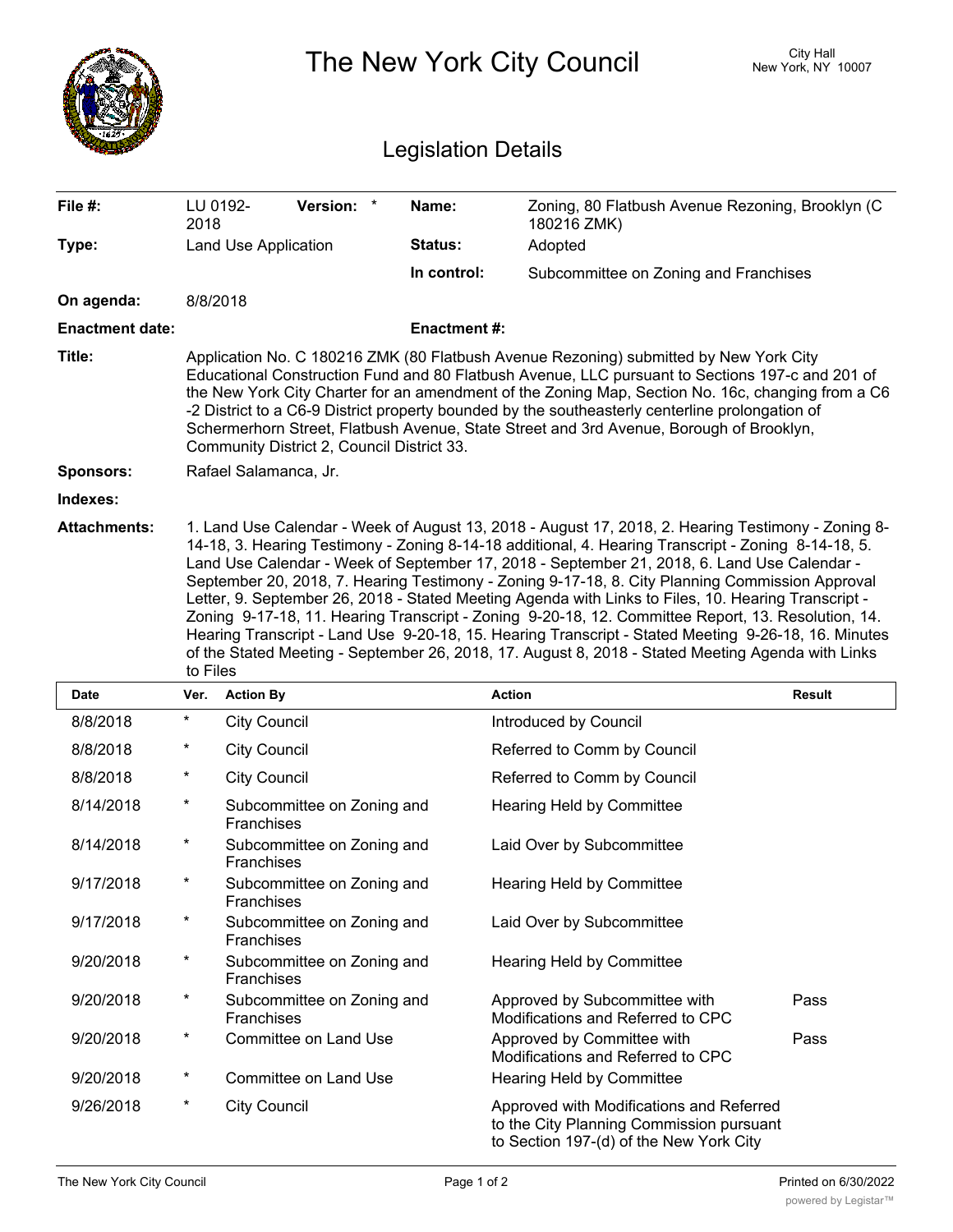|                            | The New York City Council                                                                                                                                                                                                                                                                                                                                                                                                                                                                                                                                                                                                                                                                                                                  |                                          |             |                                                                                                                                 | <b>City Hall</b><br>New York, NY 10007 |
|----------------------------|--------------------------------------------------------------------------------------------------------------------------------------------------------------------------------------------------------------------------------------------------------------------------------------------------------------------------------------------------------------------------------------------------------------------------------------------------------------------------------------------------------------------------------------------------------------------------------------------------------------------------------------------------------------------------------------------------------------------------------------------|------------------------------------------|-------------|---------------------------------------------------------------------------------------------------------------------------------|----------------------------------------|
| <b>Legislation Details</b> |                                                                                                                                                                                                                                                                                                                                                                                                                                                                                                                                                                                                                                                                                                                                            |                                          |             |                                                                                                                                 |                                        |
| File #:                    | LU 0192-<br>2018                                                                                                                                                                                                                                                                                                                                                                                                                                                                                                                                                                                                                                                                                                                           | Version: *                               | Name:       | Zoning, 80 Flatbush Avenue Rezoning, Brooklyn (C<br>180216 ZMK)                                                                 |                                        |
| Type:                      |                                                                                                                                                                                                                                                                                                                                                                                                                                                                                                                                                                                                                                                                                                                                            | Land Use Application                     | Status:     | Adopted                                                                                                                         |                                        |
|                            |                                                                                                                                                                                                                                                                                                                                                                                                                                                                                                                                                                                                                                                                                                                                            |                                          | In control: | Subcommittee on Zoning and Franchises                                                                                           |                                        |
| On agenda:                 | 8/8/2018                                                                                                                                                                                                                                                                                                                                                                                                                                                                                                                                                                                                                                                                                                                                   |                                          |             |                                                                                                                                 |                                        |
| <b>Enactment date:</b>     | <b>Enactment#:</b>                                                                                                                                                                                                                                                                                                                                                                                                                                                                                                                                                                                                                                                                                                                         |                                          |             |                                                                                                                                 |                                        |
| Title:                     | Application No. C 180216 ZMK (80 Flatbush Avenue Rezoning) submitted by New York City<br>Educational Construction Fund and 80 Flatbush Avenue, LLC pursuant to Sections 197-c and 201 of<br>the New York City Charter for an amendment of the Zoning Map, Section No. 16c, changing from a C6<br>-2 District to a C6-9 District property bounded by the southeasterly centerline prolongation of<br>Schermerhorn Street, Flatbush Avenue, State Street and 3rd Avenue, Borough of Brooklyn,<br>Community District 2, Council District 33.                                                                                                                                                                                                  |                                          |             |                                                                                                                                 |                                        |
| <b>Sponsors:</b>           | Rafael Salamanca, Jr.                                                                                                                                                                                                                                                                                                                                                                                                                                                                                                                                                                                                                                                                                                                      |                                          |             |                                                                                                                                 |                                        |
| Indexes:                   |                                                                                                                                                                                                                                                                                                                                                                                                                                                                                                                                                                                                                                                                                                                                            |                                          |             |                                                                                                                                 |                                        |
|                            | 14-18, 3. Hearing Testimony - Zoning 8-14-18 additional, 4. Hearing Transcript - Zoning 8-14-18, 5.<br>Land Use Calendar - Week of September 17, 2018 - September 21, 2018, 6. Land Use Calendar -<br>September 20, 2018, 7. Hearing Testimony - Zoning 9-17-18, 8. City Planning Commission Approval<br>Letter, 9. September 26, 2018 - Stated Meeting Agenda with Links to Files, 10. Hearing Transcript -<br>Zoning 9-17-18, 11. Hearing Transcript - Zoning 9-20-18, 12. Committee Report, 13. Resolution, 14.<br>Hearing Transcript - Land Use 9-20-18, 15. Hearing Transcript - Stated Meeting 9-26-18, 16. Minutes<br>of the Stated Meeting - September 26, 2018, 17. August 8, 2018 - Stated Meeting Agenda with Links<br>to Files |                                          |             |                                                                                                                                 |                                        |
| <b>Date</b>                | Ver.                                                                                                                                                                                                                                                                                                                                                                                                                                                                                                                                                                                                                                                                                                                                       | <b>Action By</b>                         |             | <b>Action</b>                                                                                                                   | <b>Result</b>                          |
| 8/8/2018                   | $^\star$                                                                                                                                                                                                                                                                                                                                                                                                                                                                                                                                                                                                                                                                                                                                   | <b>City Council</b>                      |             | Introduced by Council                                                                                                           |                                        |
| 8/8/2018                   | $\ast$                                                                                                                                                                                                                                                                                                                                                                                                                                                                                                                                                                                                                                                                                                                                     | <b>City Council</b>                      |             | Referred to Comm by Council                                                                                                     |                                        |
| 8/8/2018                   | *                                                                                                                                                                                                                                                                                                                                                                                                                                                                                                                                                                                                                                                                                                                                          | <b>City Council</b>                      |             | Referred to Comm by Council                                                                                                     |                                        |
| 8/14/2018                  | $^\star$                                                                                                                                                                                                                                                                                                                                                                                                                                                                                                                                                                                                                                                                                                                                   | Subcommittee on Zoning and<br>Franchises |             | Hearing Held by Committee                                                                                                       |                                        |
| 8/14/2018                  | $^\star$                                                                                                                                                                                                                                                                                                                                                                                                                                                                                                                                                                                                                                                                                                                                   | Subcommittee on Zoning and<br>Franchises |             | Laid Over by Subcommittee                                                                                                       |                                        |
| 9/17/2018                  | $^\star$                                                                                                                                                                                                                                                                                                                                                                                                                                                                                                                                                                                                                                                                                                                                   | Subcommittee on Zoning and<br>Franchises |             | Hearing Held by Committee                                                                                                       |                                        |
| 9/17/2018                  | $\star$                                                                                                                                                                                                                                                                                                                                                                                                                                                                                                                                                                                                                                                                                                                                    | Subcommittee on Zoning and<br>Franchises |             | Laid Over by Subcommittee                                                                                                       |                                        |
| 9/20/2018                  | $\star$                                                                                                                                                                                                                                                                                                                                                                                                                                                                                                                                                                                                                                                                                                                                    | Subcommittee on Zoning and<br>Franchises |             | Hearing Held by Committee                                                                                                       |                                        |
| 9/20/2018                  | $^\star$                                                                                                                                                                                                                                                                                                                                                                                                                                                                                                                                                                                                                                                                                                                                   | Subcommittee on Zoning and<br>Franchises |             | Approved by Subcommittee with<br>Modifications and Referred to CPC                                                              | Pass                                   |
| 9/20/2018                  | $\ast$                                                                                                                                                                                                                                                                                                                                                                                                                                                                                                                                                                                                                                                                                                                                     | Committee on Land Use                    |             | Approved by Committee with<br>Modifications and Referred to CPC                                                                 | Pass                                   |
| 9/20/2018                  | $\ast$                                                                                                                                                                                                                                                                                                                                                                                                                                                                                                                                                                                                                                                                                                                                     | Committee on Land Use                    |             | Hearing Held by Committee                                                                                                       |                                        |
| 9/26/2018                  | *                                                                                                                                                                                                                                                                                                                                                                                                                                                                                                                                                                                                                                                                                                                                          | <b>City Council</b>                      |             | Approved with Modifications and Referred<br>to the City Planning Commission pursuant<br>to Section 197-(d) of the New York City |                                        |